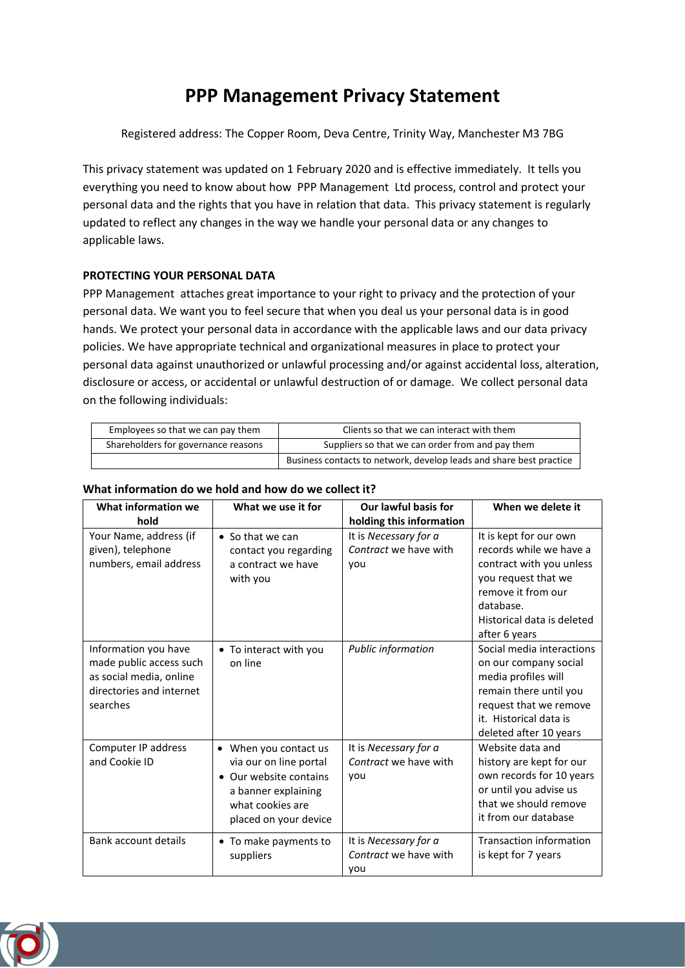## **PPP Management Privacy Statement**

Registered address: The Copper Room, Deva Centre, Trinity Way, Manchester M3 7BG

This privacy statement was updated on 1 February 2020 and is effective immediately. It tells you everything you need to know about how PPP Management Ltd process, control and protect your personal data and the rights that you have in relation that data. This privacy statement is regularly updated to reflect any changes in the way we handle your personal data or any changes to applicable laws.

## **PROTECTING YOUR PERSONAL DATA**

PPP Management attaches great importance to your right to privacy and the protection of your personal data. We want you to feel secure that when you deal us your personal data is in good hands. We protect your personal data in accordance with the applicable laws and our data privacy policies. We have appropriate technical and organizational measures in place to protect your personal data against unauthorized or unlawful processing and/or against accidental loss, alteration, disclosure or access, or accidental or unlawful destruction of or damage. We collect personal data on the following individuals:

| Employees so that we can pay them   | Clients so that we can interact with them                           |  |
|-------------------------------------|---------------------------------------------------------------------|--|
| Shareholders for governance reasons | Suppliers so that we can order from and pay them                    |  |
|                                     | Business contacts to network, develop leads and share best practice |  |

# **What information do we hold and how do we collect it?**

| What information we<br>hold                                                                                        | What we use it for                                                                                                                          | Our lawful basis for<br>holding this information      | When we delete it                                                                                                                                                                      |
|--------------------------------------------------------------------------------------------------------------------|---------------------------------------------------------------------------------------------------------------------------------------------|-------------------------------------------------------|----------------------------------------------------------------------------------------------------------------------------------------------------------------------------------------|
| Your Name, address (if<br>given), telephone<br>numbers, email address                                              | $\bullet$ So that we can<br>contact you regarding<br>a contract we have<br>with you                                                         | It is Necessary for a<br>Contract we have with<br>you | It is kept for our own<br>records while we have a<br>contract with you unless<br>you request that we<br>remove it from our<br>database.<br>Historical data is deleted<br>after 6 years |
| Information you have<br>made public access such<br>as social media, online<br>directories and internet<br>searches | • To interact with you<br>on line                                                                                                           | Public information                                    | Social media interactions<br>on our company social<br>media profiles will<br>remain there until you<br>request that we remove<br>it. Historical data is<br>deleted after 10 years      |
| Computer IP address<br>and Cookie ID                                                                               | • When you contact us<br>via our on line portal<br>Our website contains<br>a banner explaining<br>what cookies are<br>placed on your device | It is Necessary for a<br>Contract we have with<br>you | Website data and<br>history are kept for our<br>own records for 10 years<br>or until you advise us<br>that we should remove<br>it from our database                                    |
| <b>Bank account details</b>                                                                                        | • To make payments to<br>suppliers                                                                                                          | It is Necessary for a<br>Contract we have with<br>you | <b>Transaction information</b><br>is kept for 7 years                                                                                                                                  |

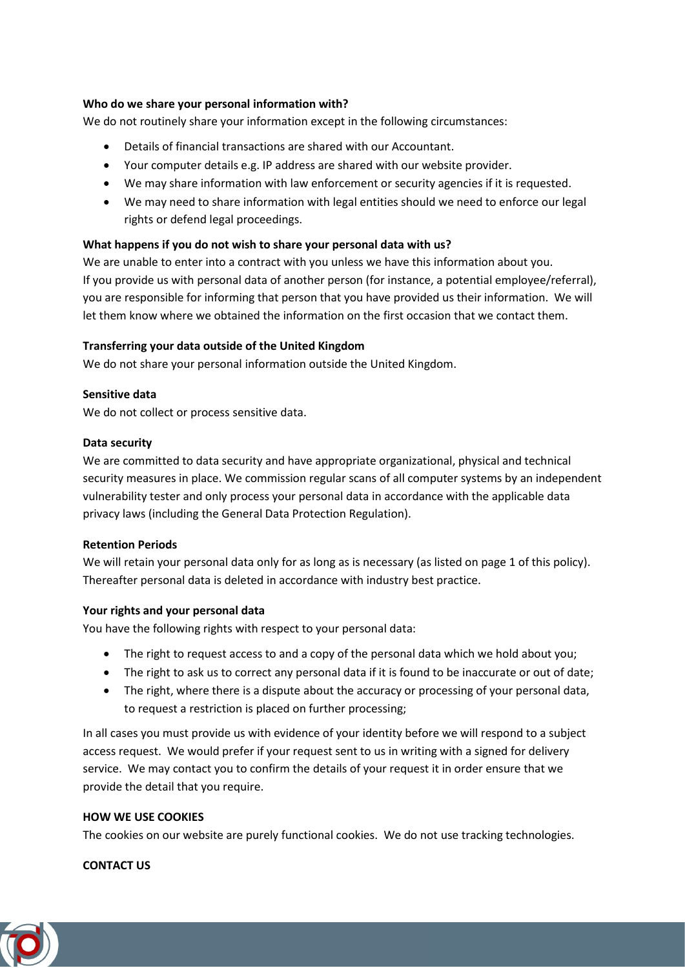## **Who do we share your personal information with?**

We do not routinely share your information except in the following circumstances:

- Details of financial transactions are shared with our Accountant.
- Your computer details e.g. IP address are shared with our website provider.
- We may share information with law enforcement or security agencies if it is requested.
- We may need to share information with legal entities should we need to enforce our legal rights or defend legal proceedings.

#### **What happens if you do not wish to share your personal data with us?**

We are unable to enter into a contract with you unless we have this information about you. If you provide us with personal data of another person (for instance, a potential employee/referral), you are responsible for informing that person that you have provided us their information. We will let them know where we obtained the information on the first occasion that we contact them.

## **Transferring your data outside of the United Kingdom**

We do not share your personal information outside the United Kingdom.

#### **Sensitive data**

We do not collect or process sensitive data.

#### **Data security**

We are committed to data security and have appropriate organizational, physical and technical security measures in place. We commission regular scans of all computer systems by an independent vulnerability tester and only process your personal data in accordance with the applicable data privacy laws (including the General Data Protection Regulation).

#### **Retention Periods**

We will retain your personal data only for as long as is necessary (as listed on page 1 of this policy). Thereafter personal data is deleted in accordance with industry best practice.

#### **Your rights and your personal data**

You have the following rights with respect to your personal data:

- The right to request access to and a copy of the personal data which we hold about you;
- The right to ask us to correct any personal data if it is found to be inaccurate or out of date;
- The right, where there is a dispute about the accuracy or processing of your personal data, to request a restriction is placed on further processing;

In all cases you must provide us with evidence of your identity before we will respond to a subject access request. We would prefer if your request sent to us in writing with a signed for delivery service. We may contact you to confirm the details of your request it in order ensure that we provide the detail that you require.

#### **HOW WE USE COOKIES**

The cookies on our website are purely functional cookies. We do not use tracking technologies.

#### **CONTACT US**